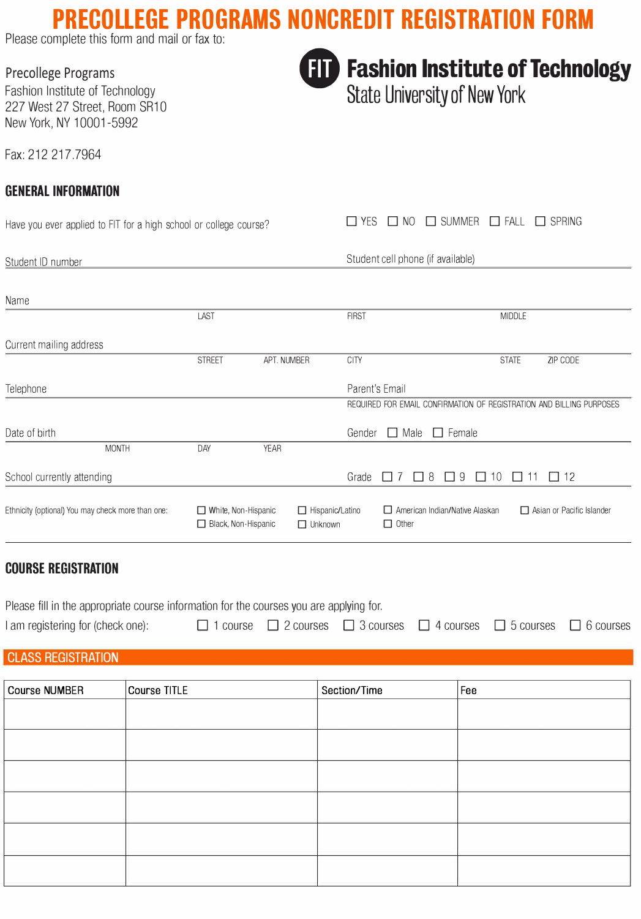# **PRECOLLEGE PROGRAMS NONCREDIT REGISTRATION FORM**

Please complete this form and mail or fax to:

Precollege Programs

Fashion Institute of Technology 227 West 27 Street, Room SR10 New York, NY 10001-5992

Fax: 212 217.7964

Student ID number

### **GENERAL INFORMATION**

Have you ever applied to FIT for a high school or college course?

 $\Box$  YES  $\Box$  NO  $\Box$  SUMMER  $\Box$  FALL  $\Box$  SPRING

Student cell phone (if available)

| Name                                              |              |                                                   |             |                                          |        |                                                                                              |
|---------------------------------------------------|--------------|---------------------------------------------------|-------------|------------------------------------------|--------|----------------------------------------------------------------------------------------------|
|                                                   |              | LAST                                              |             | <b>FIRST</b>                             |        | <b>MIDDLE</b>                                                                                |
| Current mailing address                           |              |                                                   |             |                                          |        |                                                                                              |
|                                                   |              | <b>STREET</b>                                     | APT. NUMBER | <b>CITY</b>                              |        | <b>STATE</b><br>ZIP CODE                                                                     |
| Telephone                                         |              |                                                   |             |                                          |        | Parent's Email                                                                               |
|                                                   |              |                                                   |             |                                          |        | REQUIRED FOR EMAIL CONFIRMATION OF REGISTRATION AND BILLING PURPOSES                         |
| Date of birth                                     |              |                                                   |             |                                          | Gender | $\Box$ Female<br>$\Box$ Male                                                                 |
|                                                   | <b>MONTH</b> | DAY                                               | <b>YEAR</b> |                                          |        |                                                                                              |
| School currently attending                        |              |                                                   |             | Grade                                    |        | $\Box$ 12<br>8<br>9<br>10 <sup>°</sup><br>$\mathcal{L}$<br>$\mathbf{L}$<br>L<br>$\mathbf{L}$ |
| Ethnicity (optional) You may check more than one: |              | $\Box$ White, Non-Hispanic<br>Black, Non-Hispanic |             | $\Box$ Hispanic/Latino<br>$\Box$ Unknown |        | $\Box$ American Indian/Native Alaskan<br>$\Box$ Asian or Pacific Islander<br>$\Box$ Other    |

#### **COURSE REGISTRATION**

Please fill in the appropriate course information for the courses you are applying for. I am registering for (check one): <br>  $\Box$  1 course  $\Box$  2 courses  $\Box$  3 courses  $\Box$  4 courses  $\Box$  5 courses  $\Box$  6 courses

**CLASS REGISTRATION** 

| Course NUMBER | Course TITLE | Section/Time | Fee |
|---------------|--------------|--------------|-----|
|               |              |              |     |
|               |              |              |     |
|               |              |              |     |
|               |              |              |     |
|               |              |              |     |
|               |              |              |     |



### **111** Fashion Institute of Technology

**State University of New York**